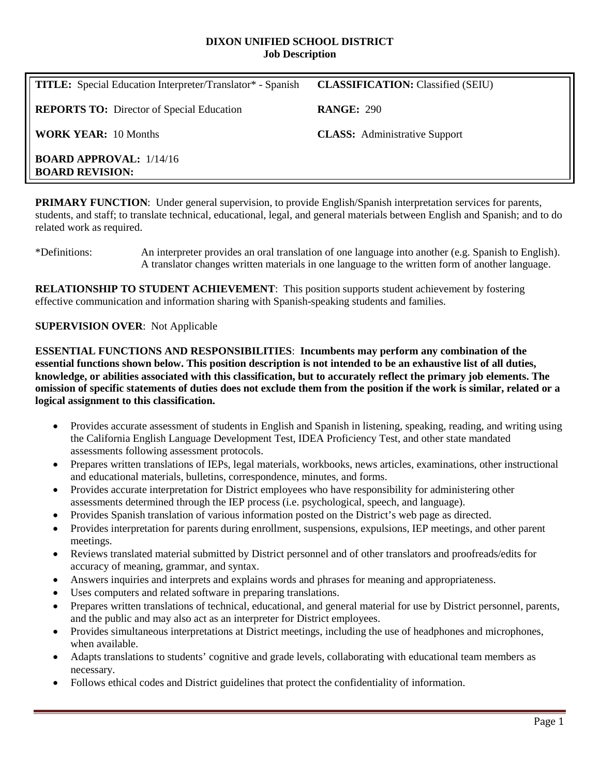#### **DIXON UNIFIED SCHOOL DISTRICT Job Description**

| <b>TITLE:</b> Special Education Interpreter/Translator* - Spanish | <b>CLASSIFICATION:</b> Classified (SEIU) |
|-------------------------------------------------------------------|------------------------------------------|
| <b>REPORTS TO:</b> Director of Special Education                  | <b>RANGE: 290</b>                        |
| <b>WORK YEAR: 10 Months</b>                                       | <b>CLASS:</b> Administrative Support     |
| <b>BOARD APPROVAL:</b> 1/14/16<br><b>BOARD REVISION:</b>          |                                          |

**PRIMARY FUNCTION:** Under general supervision, to provide English/Spanish interpretation services for parents, students, and staff; to translate technical, educational, legal, and general materials between English and Spanish; and to do related work as required.

\*Definitions: An interpreter provides an oral translation of one language into another (e.g. Spanish to English). A translator changes written materials in one language to the written form of another language.

**RELATIONSHIP TO STUDENT ACHIEVEMENT**: This position supports student achievement by fostering effective communication and information sharing with Spanish-speaking students and families.

#### **SUPERVISION OVER**: Not Applicable

**ESSENTIAL FUNCTIONS AND RESPONSIBILITIES**: **Incumbents may perform any combination of the essential functions shown below. This position description is not intended to be an exhaustive list of all duties, knowledge, or abilities associated with this classification, but to accurately reflect the primary job elements. The omission of specific statements of duties does not exclude them from the position if the work is similar, related or a logical assignment to this classification.**

- Provides accurate assessment of students in English and Spanish in listening, speaking, reading, and writing using the California English Language Development Test, IDEA Proficiency Test, and other state mandated assessments following assessment protocols.
- Prepares written translations of IEPs, legal materials, workbooks, news articles, examinations, other instructional and educational materials, bulletins, correspondence, minutes, and forms.
- Provides accurate interpretation for District employees who have responsibility for administering other assessments determined through the IEP process (i.e. psychological, speech, and language).
- Provides Spanish translation of various information posted on the District's web page as directed.
- Provides interpretation for parents during enrollment, suspensions, expulsions, IEP meetings, and other parent meetings.
- Reviews translated material submitted by District personnel and of other translators and proofreads/edits for accuracy of meaning, grammar, and syntax.
- Answers inquiries and interprets and explains words and phrases for meaning and appropriateness.
- Uses computers and related software in preparing translations.
- Prepares written translations of technical, educational, and general material for use by District personnel, parents, and the public and may also act as an interpreter for District employees.
- Provides simultaneous interpretations at District meetings, including the use of headphones and microphones, when available.
- Adapts translations to students' cognitive and grade levels, collaborating with educational team members as necessary.
- Follows ethical codes and District guidelines that protect the confidentiality of information.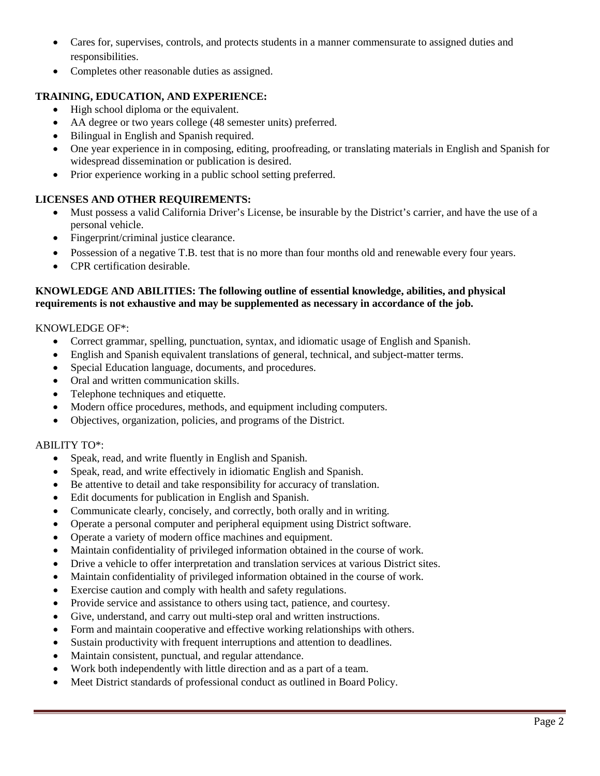- Cares for, supervises, controls, and protects students in a manner commensurate to assigned duties and responsibilities.
- Completes other reasonable duties as assigned.

# **TRAINING, EDUCATION, AND EXPERIENCE:**

- High school diploma or the equivalent.
- AA degree or two years college (48 semester units) preferred.
- Bilingual in English and Spanish required.
- One year experience in in composing, editing, proofreading, or translating materials in English and Spanish for widespread dissemination or publication is desired.
- Prior experience working in a public school setting preferred.

# **LICENSES AND OTHER REQUIREMENTS:**

- Must possess a valid California Driver's License, be insurable by the District's carrier, and have the use of a personal vehicle.
- Fingerprint/criminal justice clearance.
- Possession of a negative T.B. test that is no more than four months old and renewable every four years.
- CPR certification desirable.

### **KNOWLEDGE AND ABILITIES: The following outline of essential knowledge, abilities, and physical requirements is not exhaustive and may be supplemented as necessary in accordance of the job.**

### KNOWLEDGE OF\*:

- Correct grammar, spelling, punctuation, syntax, and idiomatic usage of English and Spanish.
- English and Spanish equivalent translations of general, technical, and subject-matter terms.
- Special Education language, documents, and procedures.
- Oral and written communication skills.
- Telephone techniques and etiquette.
- Modern office procedures, methods, and equipment including computers.
- Objectives, organization, policies, and programs of the District.

### ABILITY TO\*:

- Speak, read, and write fluently in English and Spanish.
- Speak, read, and write effectively in idiomatic English and Spanish.
- Be attentive to detail and take responsibility for accuracy of translation.
- Edit documents for publication in English and Spanish.
- Communicate clearly, concisely, and correctly, both orally and in writing.
- Operate a personal computer and peripheral equipment using District software.
- Operate a variety of modern office machines and equipment.
- Maintain confidentiality of privileged information obtained in the course of work.
- Drive a vehicle to offer interpretation and translation services at various District sites.
- Maintain confidentiality of privileged information obtained in the course of work.
- Exercise caution and comply with health and safety regulations.
- Provide service and assistance to others using tact, patience, and courtesy.
- Give, understand, and carry out multi-step oral and written instructions.
- Form and maintain cooperative and effective working relationships with others.
- Sustain productivity with frequent interruptions and attention to deadlines.
- Maintain consistent, punctual, and regular attendance.
- Work both independently with little direction and as a part of a team.
- Meet District standards of professional conduct as outlined in Board Policy.